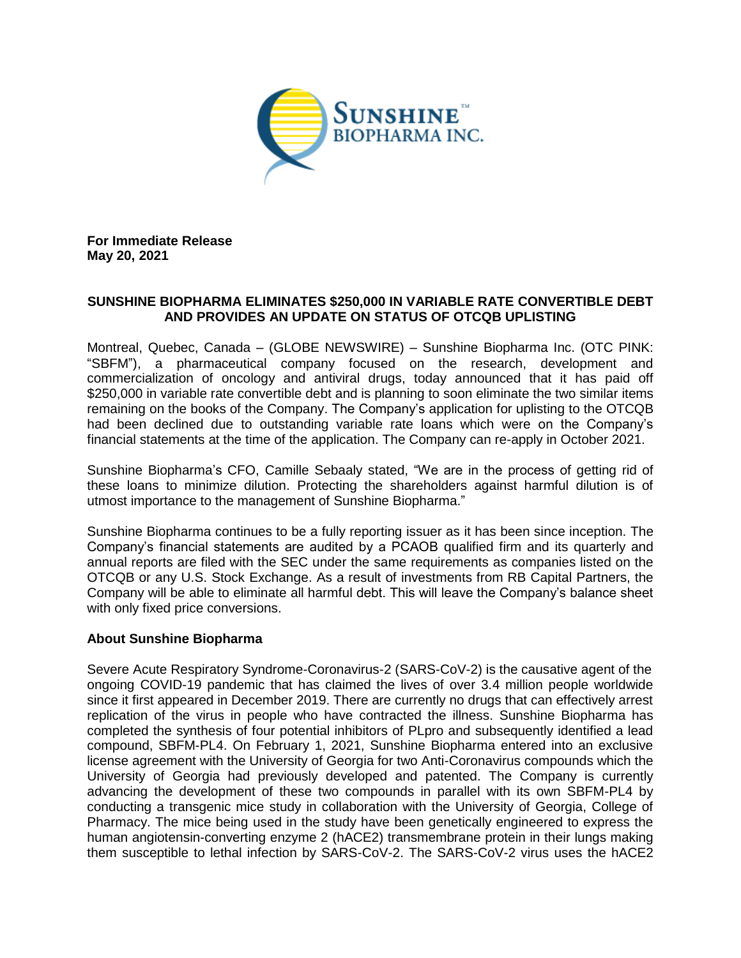

**For Immediate Release May 20, 2021**

## **SUNSHINE BIOPHARMA ELIMINATES \$250,000 IN VARIABLE RATE CONVERTIBLE DEBT AND PROVIDES AN UPDATE ON STATUS OF OTCQB UPLISTING**

Montreal, Quebec, Canada – (GLOBE NEWSWIRE) – Sunshine Biopharma Inc. (OTC PINK: "SBFM"), a pharmaceutical company focused on the research, development and commercialization of oncology and antiviral drugs, today announced that it has paid off \$250,000 in variable rate convertible debt and is planning to soon eliminate the two similar items remaining on the books of the Company. The Company's application for uplisting to the OTCQB had been declined due to outstanding variable rate loans which were on the Company's financial statements at the time of the application. The Company can re-apply in October 2021.

Sunshine Biopharma's CFO, Camille Sebaaly stated, "We are in the process of getting rid of these loans to minimize dilution. Protecting the shareholders against harmful dilution is of utmost importance to the management of Sunshine Biopharma."

Sunshine Biopharma continues to be a fully reporting issuer as it has been since inception. The Company's financial statements are audited by a PCAOB qualified firm and its quarterly and annual reports are filed with the SEC under the same requirements as companies listed on the OTCQB or any U.S. Stock Exchange. As a result of investments from RB Capital Partners, the Company will be able to eliminate all harmful debt. This will leave the Company's balance sheet with only fixed price conversions.

## **About Sunshine Biopharma**

Severe Acute Respiratory Syndrome-Coronavirus-2 (SARS-CoV-2) is the causative agent of the ongoing COVID-19 pandemic that has claimed the lives of over 3.4 million people worldwide since it first appeared in December 2019. There are currently no drugs that can effectively arrest replication of the virus in people who have contracted the illness. Sunshine Biopharma has completed the synthesis of four potential inhibitors of PLpro and subsequently identified a lead compound, SBFM-PL4. On February 1, 2021, Sunshine Biopharma entered into an exclusive license agreement with the University of Georgia for two Anti-Coronavirus compounds which the University of Georgia had previously developed and patented. The Company is currently advancing the development of these two compounds in parallel with its own SBFM-PL4 by conducting a transgenic mice study in collaboration with the University of Georgia, College of Pharmacy. The mice being used in the study have been genetically engineered to express the human angiotensin-converting enzyme 2 (hACE2) transmembrane protein in their lungs making them susceptible to lethal infection by SARS-CoV-2. The SARS-CoV-2 virus uses the hACE2